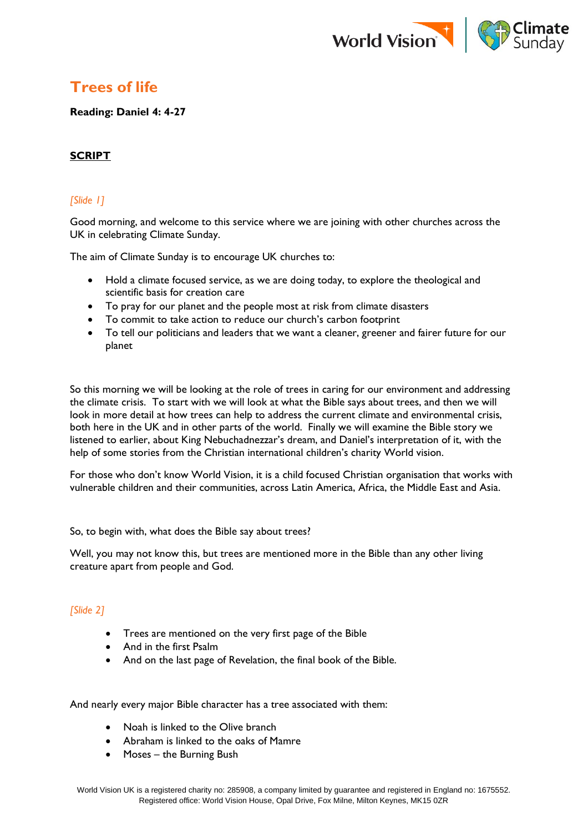

# **Trees of life**

**Reading: Daniel 4: 4-27**

# **SCRIPT**

# *[Slide 1]*

Good morning, and welcome to this service where we are joining with other churches across the UK in celebrating Climate Sunday.

The aim of Climate Sunday is to encourage UK churches to:

- Hold a climate focused service, as we are doing today, to explore the theological and scientific basis for creation care
- To pray for our planet and the people most at risk from climate disasters
- To commit to take action to reduce our church's carbon footprint
- To tell our politicians and leaders that we want a cleaner, greener and fairer future for our planet

So this morning we will be looking at the role of trees in caring for our environment and addressing the climate crisis. To start with we will look at what the Bible says about trees, and then we will look in more detail at how trees can help to address the current climate and environmental crisis, both here in the UK and in other parts of the world. Finally we will examine the Bible story we listened to earlier, about King Nebuchadnezzar's dream, and Daniel's interpretation of it, with the help of some stories from the Christian international children's charity World vision.

For those who don't know World Vision, it is a child focused Christian organisation that works with vulnerable children and their communities, across Latin America, Africa, the Middle East and Asia.

So, to begin with, what does the Bible say about trees?

Well, you may not know this, but trees are mentioned more in the Bible than any other living creature apart from people and God.

# *[Slide 2]*

- Trees are mentioned on the very first page of the Bible
- And in the first Psalm
- And on the last page of Revelation, the final book of the Bible.

And nearly every major Bible character has a tree associated with them:

- Noah is linked to the Olive branch
- Abraham is linked to the oaks of Mamre
- Moses the Burning Bush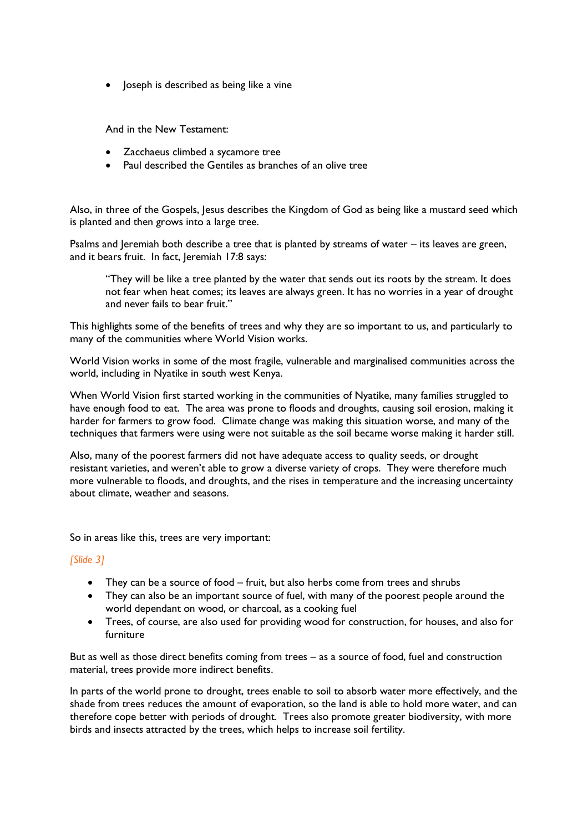• Joseph is described as being like a vine

And in the New Testament:

- Zacchaeus climbed a sycamore tree
- Paul described the Gentiles as branches of an olive tree

Also, in three of the Gospels, Jesus describes the Kingdom of God as being like a mustard seed which is planted and then grows into a large tree.

Psalms and Jeremiah both describe a tree that is planted by streams of water – its leaves are green, and it bears fruit. In fact, Jeremiah 17:8 says:

"They will be like a tree planted by the water that sends out its roots by the stream. It does not fear when heat comes; its leaves are always green. It has no worries in a year of drought and never fails to bear fruit."

This highlights some of the benefits of trees and why they are so important to us, and particularly to many of the communities where World Vision works.

World Vision works in some of the most fragile, vulnerable and marginalised communities across the world, including in Nyatike in south west Kenya.

When World Vision first started working in the communities of Nyatike, many families struggled to have enough food to eat. The area was prone to floods and droughts, causing soil erosion, making it harder for farmers to grow food. Climate change was making this situation worse, and many of the techniques that farmers were using were not suitable as the soil became worse making it harder still.

Also, many of the poorest farmers did not have adequate access to quality seeds, or drought resistant varieties, and weren't able to grow a diverse variety of crops. They were therefore much more vulnerable to floods, and droughts, and the rises in temperature and the increasing uncertainty about climate, weather and seasons.

So in areas like this, trees are very important:

#### *[Slide 3]*

- They can be a source of food fruit, but also herbs come from trees and shrubs
- They can also be an important source of fuel, with many of the poorest people around the world dependant on wood, or charcoal, as a cooking fuel
- Trees, of course, are also used for providing wood for construction, for houses, and also for furniture

But as well as those direct benefits coming from trees – as a source of food, fuel and construction material, trees provide more indirect benefits.

In parts of the world prone to drought, trees enable to soil to absorb water more effectively, and the shade from trees reduces the amount of evaporation, so the land is able to hold more water, and can therefore cope better with periods of drought. Trees also promote greater biodiversity, with more birds and insects attracted by the trees, which helps to increase soil fertility.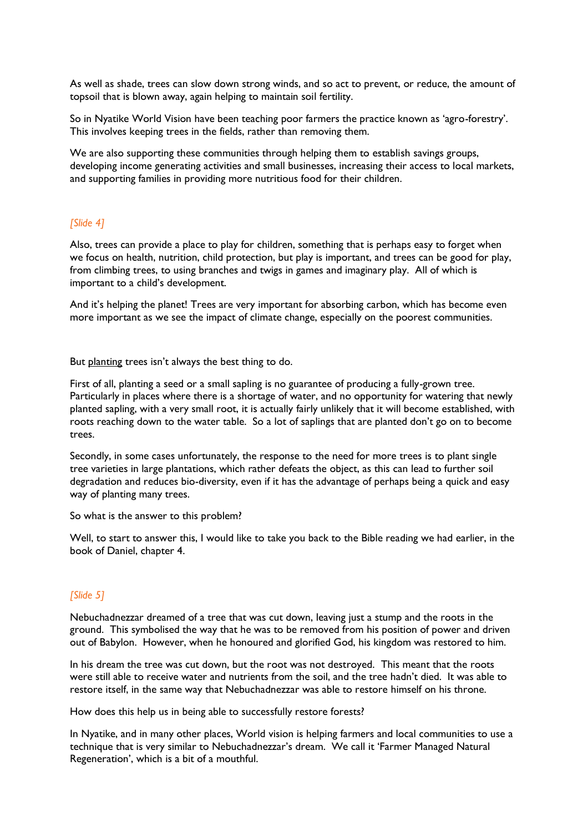As well as shade, trees can slow down strong winds, and so act to prevent, or reduce, the amount of topsoil that is blown away, again helping to maintain soil fertility.

So in Nyatike World Vision have been teaching poor farmers the practice known as 'agro-forestry'. This involves keeping trees in the fields, rather than removing them.

We are also supporting these communities through helping them to establish savings groups, developing income generating activities and small businesses, increasing their access to local markets, and supporting families in providing more nutritious food for their children.

#### *[Slide 4]*

Also, trees can provide a place to play for children, something that is perhaps easy to forget when we focus on health, nutrition, child protection, but play is important, and trees can be good for play, from climbing trees, to using branches and twigs in games and imaginary play. All of which is important to a child's development.

And it's helping the planet! Trees are very important for absorbing carbon, which has become even more important as we see the impact of climate change, especially on the poorest communities.

But planting trees isn't always the best thing to do.

First of all, planting a seed or a small sapling is no guarantee of producing a fully-grown tree. Particularly in places where there is a shortage of water, and no opportunity for watering that newly planted sapling, with a very small root, it is actually fairly unlikely that it will become established, with roots reaching down to the water table. So a lot of saplings that are planted don't go on to become trees.

Secondly, in some cases unfortunately, the response to the need for more trees is to plant single tree varieties in large plantations, which rather defeats the object, as this can lead to further soil degradation and reduces bio-diversity, even if it has the advantage of perhaps being a quick and easy way of planting many trees.

So what is the answer to this problem?

Well, to start to answer this, I would like to take you back to the Bible reading we had earlier, in the book of Daniel, chapter 4.

#### *[Slide 5]*

Nebuchadnezzar dreamed of a tree that was cut down, leaving just a stump and the roots in the ground. This symbolised the way that he was to be removed from his position of power and driven out of Babylon. However, when he honoured and glorified God, his kingdom was restored to him.

In his dream the tree was cut down, but the root was not destroyed. This meant that the roots were still able to receive water and nutrients from the soil, and the tree hadn't died. It was able to restore itself, in the same way that Nebuchadnezzar was able to restore himself on his throne.

How does this help us in being able to successfully restore forests?

In Nyatike, and in many other places, World vision is helping farmers and local communities to use a technique that is very similar to Nebuchadnezzar's dream. We call it 'Farmer Managed Natural Regeneration', which is a bit of a mouthful.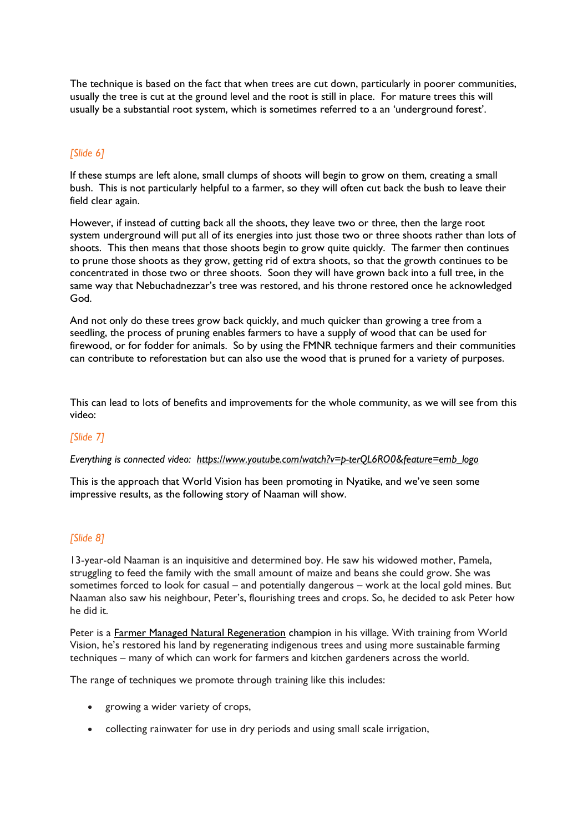The technique is based on the fact that when trees are cut down, particularly in poorer communities, usually the tree is cut at the ground level and the root is still in place. For mature trees this will usually be a substantial root system, which is sometimes referred to a an 'underground forest'.

#### *[Slide 6]*

If these stumps are left alone, small clumps of shoots will begin to grow on them, creating a small bush. This is not particularly helpful to a farmer, so they will often cut back the bush to leave their field clear again.

However, if instead of cutting back all the shoots, they leave two or three, then the large root system underground will put all of its energies into just those two or three shoots rather than lots of shoots. This then means that those shoots begin to grow quite quickly. The farmer then continues to prune those shoots as they grow, getting rid of extra shoots, so that the growth continues to be concentrated in those two or three shoots. Soon they will have grown back into a full tree, in the same way that Nebuchadnezzar's tree was restored, and his throne restored once he acknowledged God.

And not only do these trees grow back quickly, and much quicker than growing a tree from a seedling, the process of pruning enables farmers to have a supply of wood that can be used for firewood, or for fodder for animals. So by using the FMNR technique farmers and their communities can contribute to reforestation but can also use the wood that is pruned for a variety of purposes.

This can lead to lots of benefits and improvements for the whole community, as we will see from this video:

### *[Slide 7]*

#### *Everything is connected video: [https://www.youtube.com/watch?v=p-terQL6RO0&feature=emb\\_logo](https://www.youtube.com/watch?v=p-terQL6RO0&feature=emb_logo)*

This is the approach that World Vision has been promoting in Nyatike, and we've seen some impressive results, as the following story of Naaman will show.

#### *[Slide 8]*

13-year-old Naaman is an inquisitive and determined boy. He saw his widowed mother, Pamela, struggling to feed the family with the small amount of maize and beans she could grow. She was sometimes forced to look for casual – and potentially dangerous – work at the local gold mines. But Naaman also saw his neighbour, Peter's, flourishing trees and crops. So, he decided to ask Peter how he did it.

Peter is a [Farmer Managed Natural Regeneration](https://www.youtube.com/watch?v=p-terQL6RO0&feature=emb_logo) champion in his village. With training from World Vision, he's restored his land by regenerating indigenous trees and using more sustainable farming techniques – many of which can work for farmers and kitchen gardeners across the world.

The range of techniques we promote through training like this includes:

- growing a wider variety of crops,
- collecting rainwater for use in dry periods and using small scale irrigation,